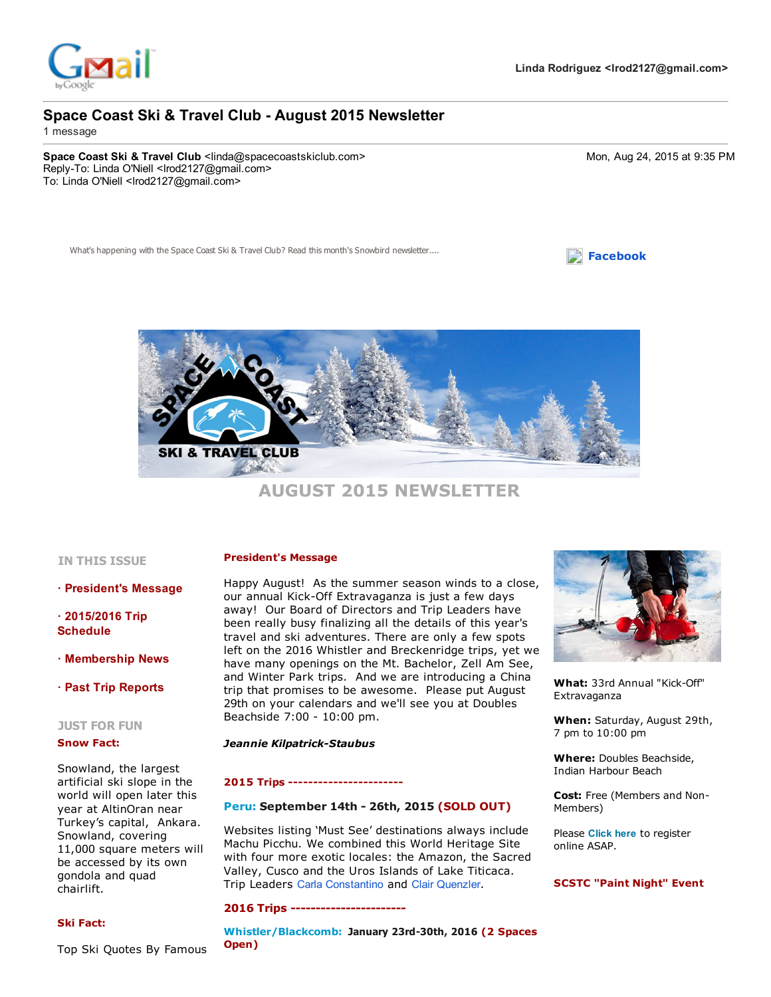

# Space Coast Ski & Travel Club - August 2015 Newsletter

1 message

Space Coast Ski & Travel Club <linda@spacecoastskiclub.com> 6. external comparation of the Mon, Aug 24, 2015 at 9:35 PM Reply-To: Linda O'Niell <lrod2127@gmail.com> To: Linda O'Niell <lrod2127@gmail.com>

What's happening with the Space Coast Ski & Travel Club? Read this month'





# AUGUST 2015 NEWSLETTER

#### IN THIS ISSUE

· President's Message

 $\cdot$  2015/2016 Trip Schedule

· Membership News

## · Past Trip Reports

#### JUST FOR FUN

#### Snow Fact:

Snowland, the largest artificial ski slope in the world will open later this year at AltinOran near Turkey's capital, Ankara. Snowland, covering 11,000 square meters will be accessed by its own gondola and quad chairlift.

## Ski Fact:

President's Message

Happy August! As the summer season winds to a close, our annual Kick-Off Extravaganza is just a few days away! Our Board of Directors and Trip Leaders have been really busy finalizing all the details of this year's travel and ski adventures. There are only a few spots left on the 2016 Whistler and Breckenridge trips, yet we have many openings on the Mt. Bachelor, Zell Am See, and Winter Park trips. And we are introducing a China trip that promises to be awesome. Please put August 29th on your calendars and we'll see you at Doubles Beachside 7:00 - 10:00 pm.

#### **Jeannie Kilpatrick-Staubus**

#### 2015 Trips

## [Peru:](http://www.spacecoastskiclub.com/EmailTracker/LinkTracker.ashx?linkAndRecipientCode=UT4frH7nAM2gjhRo%2bLdt6cMJLqdTfJt0fnMhEWmNALckvRdxjfFdNCr1oJkYkpQgKSnh1V5rVcgTRhOWlBRfmrU7xdeXw8eKVcCh86Imvds%3d) September 14th - 26th, 2015 (SOLD OUT)

Websites listing 'Must See' destinations always include Machu Picchu. We combined this World Heritage Site with four more exotic locales: the Amazon, the Sacred Valley, Cusco and the Uros Islands of Lake Titicaca. Trip Leaders Carla Constantino and Clair Quenzler.

### 2016 Trips

[Whistler/Blackcomb:](http://www.spacecoastskiclub.com/EmailTracker/LinkTracker.ashx?linkAndRecipientCode=Ueq1QfOdJXBBndDykGh%2brZ65YYzngC4u9GTCH%2fAj4Qg9AKdLGt0hcj0MWBVC6xvRXZFhdpYeTBDXGWbMHwfIwjD74f3zry1knmqBPRvRqTY%3d) January 23rd-30th, 2016 (2 Spaces Open)



What: 33rd Annual "Kick-Off" Extravaganza

When: Saturday, August 29th, 7 pm to 10:00 pm

Where: Doubles Beachside, Indian Harbour Beach

Cost: Free (Members and Non-Members)

Please Click here to register online ASAP.

#### SCSTC "Paint Night" Event

Top Ski Quotes By Famous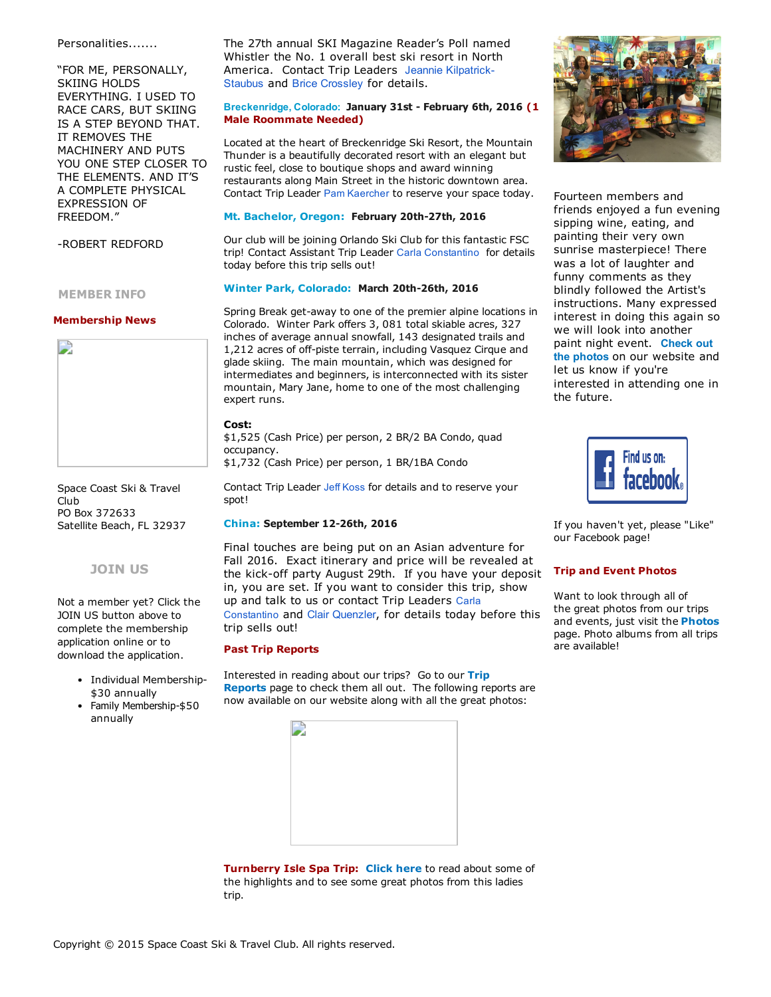### Personalities.......

"FOR ME, PERSONALLY, SKIING HOLDS EVERYTHING. I USED TO RACE CARS, BUT SKIING IS A STEP BEYOND THAT. IT REMOVES THE MACHINERY AND PUTS YOU ONE STEP CLOSER TO THE ELEMENTS. AND IT'S A COMPLETE PHYSICAL EXPRESSION OF FREEDOM."

ROBERT REDFORD

MEMBER INFO

#### Membership News



Space Coast Ski & Travel Club PO Box 372633 Satellite Beach, FL 32937

## [JOIN](http://www.spacecoastskiclub.com/EmailTracker/LinkTracker.ashx?linkAndRecipientCode=UeTcUgoE0WkPmNiCwc%2fbuPPD%2fix5xwU0fNvzKNg7eacPtAOeF9Xmw2Eva%2fAQaqK9k2O9UsHyHxUU8wDxb1RL4ZGgGCWHhiyo3ZsbsZJaG%2fc%3d) US

Not a member yet? Click the JOIN US button above to complete the membership application online or to download the application.

- Individual Membership-\$30 annually
- Family Membership-\$50 annually

The 27th annual SKI Magazine Reader's Poll named Whistler the No. 1 overall best ski resort in North [America.](mailto:Jeannie@SpaceCoastSkiClub.com) Contact Trip Leaders Jeannie Kilpatrick-Staubus and Brice Crossley for details.

## Breckenridge, Colorado: January 31st - February 6th, 2016 (1 Male Roommate Needed)

Located at the heart of Breckenridge Ski Resort, the Mountain Thunder is a beautifully decorated resort with an elegant but rustic feel, close to boutique shops and award winning restaurants along Main Street in the historic downtown area. Contact Trip Leader Pam Kaercher to reserve your space today.

#### Mt. [Bachelor,](http://www.spacecoastskiclub.com/EmailTracker/LinkTracker.ashx?linkAndRecipientCode=lZMRzEJgm3ruSQuNh%2bdnjv196OdShHy47gw6VZNJEUY8ZhcmZbEMnQEJMtKUfiYQvaGrJkSAWJb6mf%2bjDCovAX0aOlkkoyW%2brVhWXUC8kXs%3d) Oregon: February 20th-27th, 2016

Our club will be joining Orlando Ski Club for this fantastic FSC trip! Contact Assistant Trip Leader Carla Constantino for details today before this trip sells out!

## Winter Park, [Colorado:](http://www.spacecoastskiclub.com/EmailTracker/LinkTracker.ashx?linkAndRecipientCode=3R%2fxQKZe%2b6bOtAIDSQ28V49yAlthHmCBxSStipDjhYEpTTnEQ3XF0DJQ%2bPPr%2fso92vkCHcj6iyL8CshZX6v80fqt5evRKvYEMYuhr2sucQs%3d) March 20th-26th, 2016

Spring Break get-away to one of the premier alpine locations in Colorado. Winter Park offers 3, 081 total skiable acres, 327 inches of average annual snowfall, 143 designated trails and 1,212 acres of off-piste terrain, including Vasquez Cirque and glade skiing. The main mountain, which was designed for intermediates and beginners, is interconnected with its sister mountain, Mary Jane, home to one of the most challenging expert runs.

#### Cost:

\$1,525 (Cash Price) per person, 2 BR/2 BA Condo, quad occupancy.

\$1,732 (Cash Price) per person, 1 BR/1BA Condo

Contact Trip Leader Jeff Koss for details and to reserve your spot!

#### [China:](http://www.spacecoastskiclub.com/EmailTracker/LinkTracker.ashx?linkAndRecipientCode=tG1u4nfrJ%2bE8pdQV%2fXBkHILng%2bpKSCcpRbUxuR%2fL0lZ9R78zA0NuUtE7WFRIeyz7oHU%2bZ7%2bM%2fYiRmCL5ZgZjrNlRjPMvYrbmxNt8aF1e1G8%3d) September 12-26th, 2016

Final touches are being put on an Asian adventure for Fall 2016. Exact itinerary and price will be revealed at the kick-off party August 29th. If you have your deposit in, you are set. If you want to consider this trip, show up and talk to us or contact Trip Leaders Carla Constantino and Clair Quenzler, for details today before this trip sells out!

#### Past Trip Reports

[Interested](http://www.spacecoastskiclub.com/EmailTracker/LinkTracker.ashx?linkAndRecipientCode=McpQzpQ%2bQ2IiKHm%2bIm1Hxc6ynDuaX3FQ1BaFk5eb3V%2fSlLEPaM%2f1WW5BppzgrSmxsqOnnV1nd4u3YCGlIFUpmBLkdRuLojq%2fhhfxuhPff14%3d) in reading about our trips? Go to our Trip Reports page to check them all out. The following reports are now available on our website along with all the great photos:



Turnberry Isle Spa Trip: [Click](http://www.spacecoastskiclub.com/EmailTracker/LinkTracker.ashx?linkAndRecipientCode=E636txstdiSufyCZrZ7KDeHkR75teyBmcQRaa9La5QmNvwmIPm9o4wSdlMj25aGbaREBQm6MhGbtKMbTI8MYZYmB164Z2AmI%2fh3NKTBWqwA%3d) here to read about some of the highlights and to see some great photos from this ladies trip.



Fourteen members and friends enjoyed a fun evening sipping wine, eating, and painting their very own sunrise masterpiece! There was a lot of laughter and funny comments as they blindly followed the Artist's instructions. Many expressed interest in doing this again so we will look into another paint night event. Check out the photos on our [website](http://www.spacecoastskiclub.com/EmailTracker/LinkTracker.ashx?linkAndRecipientCode=xYU%2by9Jsp9YDPYXaTZEow1Tu7opekgUVwBtlakekFwXmhDXpAGouFY6Yxbcg8uFQJnRQWK%2f461Jbvn%2fG5JLzsQt45aTuPLwIHw%2bG%2bF6frc0%3d) and let us know if you're interested in attending one in the future.



If you haven't yet, please "Like" our Facebook page!

#### Trip and Event Photos

Want to look through all of the great photos from our trips and events, just visit the **[Photos](http://www.spacecoastskiclub.com/EmailTracker/LinkTracker.ashx?linkAndRecipientCode=RL%2bRCbzsHndNtk6dPhvYQU1eDvUKbCUmnXNWlIwojKfoPZpSGoH3i%2fsTXXk7PlxDL%2brHlVUvmxMvERTCFY4CA%2bwnVibagYbcT23WU7Dyi08%3d)** page. Photo albums from all trips are available!